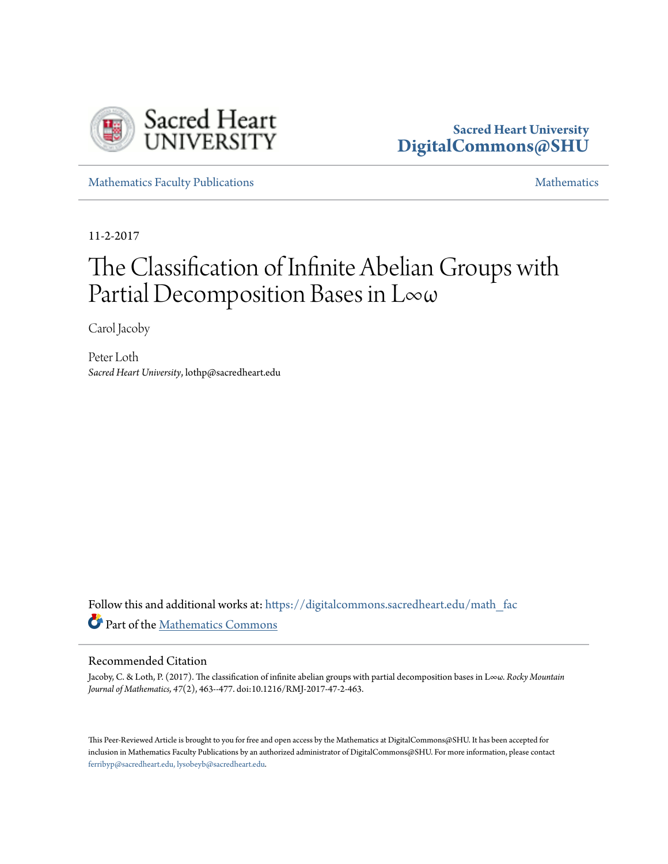

# **Sacred Heart University [DigitalCommons@SHU](https://digitalcommons.sacredheart.edu?utm_source=digitalcommons.sacredheart.edu%2Fmath_fac%2F53&utm_medium=PDF&utm_campaign=PDFCoverPages)**

[Mathematics Faculty Publications](https://digitalcommons.sacredheart.edu/math_fac?utm_source=digitalcommons.sacredheart.edu%2Fmath_fac%2F53&utm_medium=PDF&utm_campaign=PDFCoverPages) [Mathematics](https://digitalcommons.sacredheart.edu/math?utm_source=digitalcommons.sacredheart.edu%2Fmath_fac%2F53&utm_medium=PDF&utm_campaign=PDFCoverPages) Mathematics

11-2-2017

# The Classification of Infinite Abelian Groups with Partial Decomposition Bases in L∞ω

Carol Jacoby

Peter Loth *Sacred Heart University*, lothp@sacredheart.edu

Follow this and additional works at: [https://digitalcommons.sacredheart.edu/math\\_fac](https://digitalcommons.sacredheart.edu/math_fac?utm_source=digitalcommons.sacredheart.edu%2Fmath_fac%2F53&utm_medium=PDF&utm_campaign=PDFCoverPages) Part of the [Mathematics Commons](http://network.bepress.com/hgg/discipline/174?utm_source=digitalcommons.sacredheart.edu%2Fmath_fac%2F53&utm_medium=PDF&utm_campaign=PDFCoverPages)

# Recommended Citation

Jacoby, C. & Loth, P. (2017). The classification of infinite abelian groups with partial decomposition bases in L∞ω. *Rocky Mountain Journal of Mathematics, 47*(2), 463--477. doi:10.1216/RMJ-2017-47-2-463.

This Peer-Reviewed Article is brought to you for free and open access by the Mathematics at DigitalCommons@SHU. It has been accepted for inclusion in Mathematics Faculty Publications by an authorized administrator of DigitalCommons@SHU. For more information, please contact [ferribyp@sacredheart.edu, lysobeyb@sacredheart.edu.](mailto:ferribyp@sacredheart.edu,%20lysobeyb@sacredheart.edu)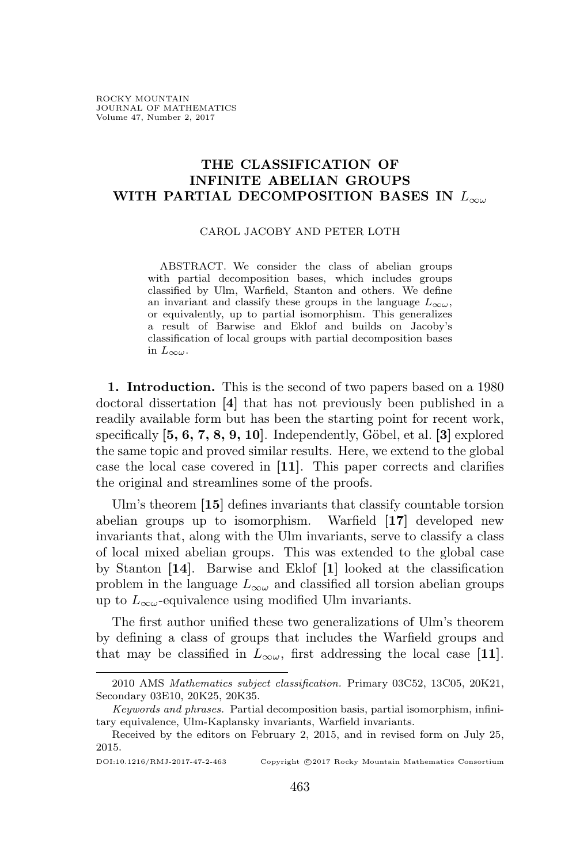## **THE CLASSIFICATION OF INFINITE ABELIAN GROUPS WITH PARTIAL DECOMPOSITION BASES IN** *L∞<sup>ω</sup>*

#### CAROL JACOBY AND PETER LOTH

ABSTRACT. We consider the class of abelian groups with partial decomposition bases, which includes groups classified by Ulm, Warfield, Stanton and others. We define an invariant and classify these groups in the language  $L_{\infty\omega}$ , or equivalently, up to partial isomorphism. This generalizes a result of Barwise and Eklof and builds on Jacoby's classification of local groups with partial decomposition bases in  $L_{\infty\omega}$ .

**1. Introduction.** This is the second of two papers based on a 1980 doctoral dissertation **[4]** that has not previously been published in a readily available form but has been the starting point for recent work, specifically  $[5, 6, 7, 8, 9, 10]$ . Independently, Göbel, et al.  $[3]$  explored the same topic and proved similar results. Here, we extend to the global case the local case covered in **[11]**. This paper corrects and clarifies the original and streamlines some of the proofs.

Ulm's theorem **[15]** defines invariants that classify countable torsion abelian groups up to isomorphism. Warfield **[17]** developed new invariants that, along with the Ulm invariants, serve to classify a class of local mixed abelian groups. This was extended to the global case by Stanton **[14]**. Barwise and Eklof **[1]** looked at the classification problem in the language  $L_{\infty}$  and classified all torsion abelian groups up to  $L_{\infty}$ <sup>2</sup>-equivalence using modified Ulm invariants.

The first author unified these two generalizations of Ulm's theorem by defining a class of groups that includes the Warfield groups and that may be classified in  $L_{\infty}$ , first addressing the local case [11].

DOI:10.1216/RMJ-2017-47-2-463 Copyright *©*2017 Rocky Mountain Mathematics Consortium

<sup>2010</sup> AMS *Mathematics subject classification.* Primary 03C52, 13C05, 20K21, Secondary 03E10, 20K25, 20K35.

*Keywords and phrases.* Partial decomposition basis, partial isomorphism, infinitary equivalence, Ulm-Kaplansky invariants, Warfield invariants.

Received by the editors on February 2, 2015, and in revised form on July 25, 2015.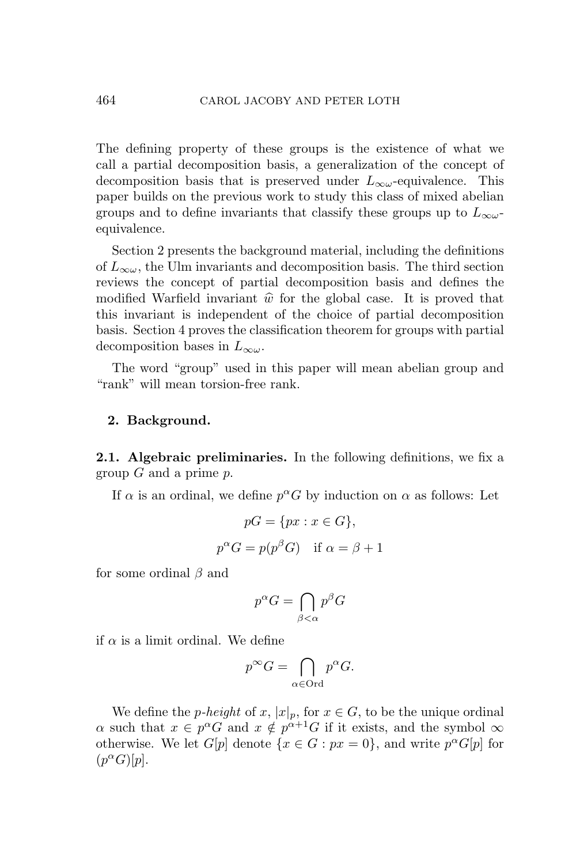The defining property of these groups is the existence of what we call a partial decomposition basis, a generalization of the concept of decomposition basis that is preserved under  $L_{\infty}$ -equivalence. This paper builds on the previous work to study this class of mixed abelian groups and to define invariants that classify these groups up to  $L_{\infty}$ equivalence.

Section 2 presents the background material, including the definitions of  $L_{\infty}$ , the Ulm invariants and decomposition basis. The third section reviews the concept of partial decomposition basis and defines the modified Warfield invariant  $\hat{w}$  for the global case. It is proved that this invariant is independent of the choice of partial decomposition basis. Section 4 proves the classification theorem for groups with partial decomposition bases in *L∞<sup>ω</sup>*.

The word "group" used in this paper will mean abelian group and "rank" will mean torsion-free rank.

### **2. Background.**

**2.1. Algebraic preliminaries.** In the following definitions, we fix a group *G* and a prime *p*.

If  $\alpha$  is an ordinal, we define  $p^{\alpha}G$  by induction on  $\alpha$  as follows: Let

$$
pG = \{px : x \in G\},\
$$

$$
p^{\alpha}G = p(p^{\beta}G) \text{ if } \alpha = \beta + 1
$$

for some ordinal *β* and

$$
p^{\alpha}G = \bigcap_{\beta < \alpha} p^{\beta}G
$$

if  $\alpha$  is a limit ordinal. We define

$$
p^{\infty}G = \bigcap_{\alpha \in \text{Ord}} p^{\alpha}G.
$$

We define the *p*-height of *x*,  $|x|_p$ , for  $x \in G$ , to be the unique ordinal *α* such that  $x \in p^{\alpha}G$  and  $x \notin p^{\alpha+1}G$  if it exists, and the symbol  $\infty$ otherwise. We let  $G[p]$  denote  $\{x \in G : px = 0\}$ , and write  $p^{\alpha}G[p]$  for  $(p^{\alpha}G)[p].$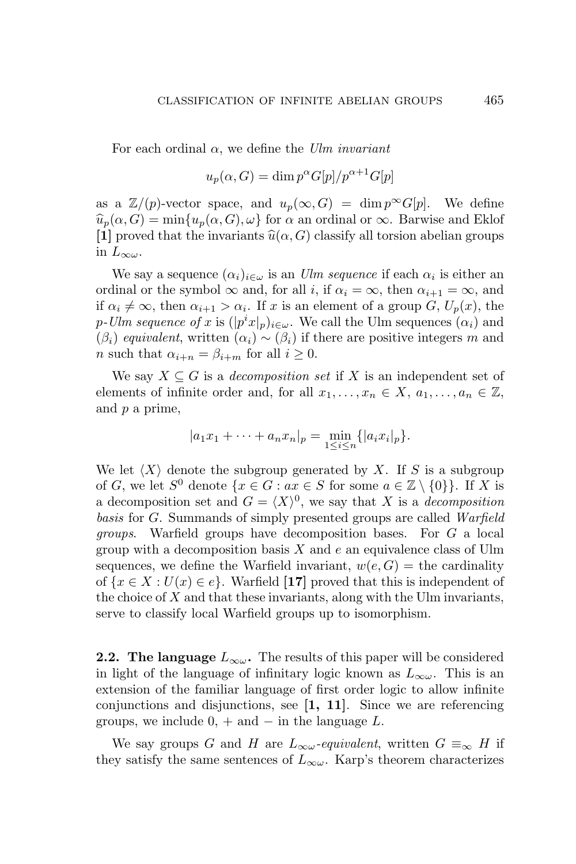For each ordinal *α*, we define the *Ulm invariant*

$$
u_p(\alpha, G) = \dim p^{\alpha} G[p]/p^{\alpha+1} G[p]
$$

as a  $\mathbb{Z}/(p)$ -vector space, and  $u_p(\infty, G) = \dim p^{\infty}G[p]$ . We define  $\widehat{u}_p(\alpha, G) = \min\{u_p(\alpha, G), \omega\}$  for  $\alpha$  an ordinal or  $\infty$ . Barwise and Eklof **[1]** proved that the invariants  $\widehat{u}(\alpha, G)$  classify all torsion abelian groups in  $L_{\infty\omega}$ .

We say a sequence  $(\alpha_i)_{i \in \omega}$  is an *Ulm sequence* if each  $\alpha_i$  is either an ordinal or the symbol  $\infty$  and, for all *i*, if  $\alpha_i = \infty$ , then  $\alpha_{i+1} = \infty$ , and if  $\alpha_i \neq \infty$ , then  $\alpha_{i+1} > \alpha_i$ . If *x* is an element of a group *G*,  $U_p(x)$ , the *p*-Ulm sequence of *x* is  $(|p^i x|_p)_{i \in \omega}$ . We call the Ulm sequences  $(\alpha_i)$  and  $(\beta_i)$  *equivalent*, written  $(\alpha_i) \sim (\beta_i)$  if there are positive integers *m* and *n* such that  $\alpha_{i+n} = \beta_{i+m}$  for all  $i \geq 0$ .

We say  $X \subseteq G$  is a *decomposition set* if X is an independent set of elements of infinite order and, for all  $x_1, \ldots, x_n \in X$ ,  $a_1, \ldots, a_n \in \mathbb{Z}$ , and *p* a prime,

$$
|a_1x_1 + \cdots + a_nx_n|_p = \min_{1 \le i \le n} \{|a_ix_i|_p\}.
$$

We let  $\langle X \rangle$  denote the subgroup generated by X. If S is a subgroup of *G*, we let  $S^0$  denote  $\{x \in G : ax \in S \text{ for some } a \in \mathbb{Z} \setminus \{0\}\}\)$ . If *X* is a decomposition set and  $G = \langle X \rangle^0$ , we say that *X* is a *decomposition basis* for *G*. Summands of simply presented groups are called *Warfield groups*. Warfield groups have decomposition bases. For *G* a local group with a decomposition basis *X* and *e* an equivalence class of Ulm sequences, we define the Warfield invariant,  $w(e, G) =$  the cardinality of  $\{x \in X : U(x) \in e\}$ . Warfield [17] proved that this is independent of the choice of *X* and that these invariants, along with the Ulm invariants, serve to classify local Warfield groups up to isomorphism.

**2.2. The language**  $L_{\infty\omega}$ . The results of this paper will be considered in light of the language of infinitary logic known as  $L_{\infty}$ . This is an extension of the familiar language of first order logic to allow infinite conjunctions and disjunctions, see **[1, 11]**. Since we are referencing groups, we include 0, + and *−* in the language *L*.

We say groups *G* and *H* are  $L_{\infty} \omega$ -equivalent, written  $G \equiv_{\infty} H$  if they satisfy the same sentences of  $L_{\infty}$ . Karp's theorem characterizes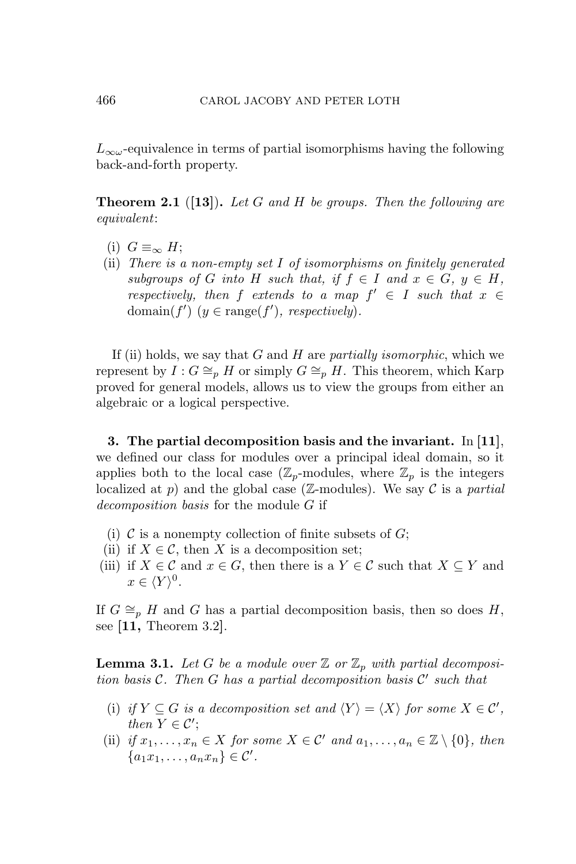*L∞<sup>ω</sup>*-equivalence in terms of partial isomorphisms having the following back-and-forth property.

**Theorem 2.1** (**[13]**)**.** *Let G and H be groups. Then the following are equivalent*:

- (i)  $G \equiv_{\infty} H$ ;
- (ii) *There is a non-empty set I of isomorphisms on finitely generated subgroups of G into H such that,* if  $f \in I$  *and*  $x \in G$ ,  $y \in H$ , *respectively, then*  $f$  *extends to a map*  $f' \in I$  *such that*  $x \in$ domain( $f'$ ) ( $y \in \text{range}(f')$ , respectively).

If (ii) holds, we say that *G* and *H* are *partially isomorphic*, which we represent by  $I: G \cong_{p} H$  or simply  $G \cong_{p} H$ . This theorem, which Karp proved for general models, allows us to view the groups from either an algebraic or a logical perspective.

**3. The partial decomposition basis and the invariant.** In **[11]**, we defined our class for modules over a principal ideal domain, so it applies both to the local case  $(\mathbb{Z}_p$ -modules, where  $\mathbb{Z}_p$  is the integers localized at  $p$ ) and the global case ( $\mathbb{Z}$ -modules). We say  $\mathcal C$  is a *partial decomposition basis* for the module *G* if

- (i)  $\mathcal C$  is a nonempty collection of finite subsets of  $G$ ;
- (ii) if  $X \in \mathcal{C}$ , then *X* is a decomposition set;
- (iii) if  $X \in \mathcal{C}$  and  $x \in G$ , then there is a  $Y \in \mathcal{C}$  such that  $X \subseteq Y$  and  $x \in \langle Y \rangle^0$ .

If  $G \cong_{p} H$  and *G* has a partial decomposition basis, then so does *H*, see **[11,** Theorem 3.2**]**.

**Lemma 3.1.** Let G be a module over  $\mathbb{Z}$  or  $\mathbb{Z}_p$  with partial decomposi*tion basis C. Then G has a partial decomposition basis C ′ such that*

- (i) if  $Y \subseteq G$  is a decomposition set and  $\langle Y \rangle = \langle X \rangle$  for some  $X \in \mathcal{C}'$ , *then*  $Y \in \mathcal{C}'$ ;
- (ii) *if*  $x_1, \ldots, x_n \in X$  *for some*  $X \in \mathcal{C}'$  *and*  $a_1, \ldots, a_n \in \mathbb{Z} \setminus \{0\}$ *, then*  ${a_1x_1, \ldots, a_nx_n} \in \mathcal{C}'$ .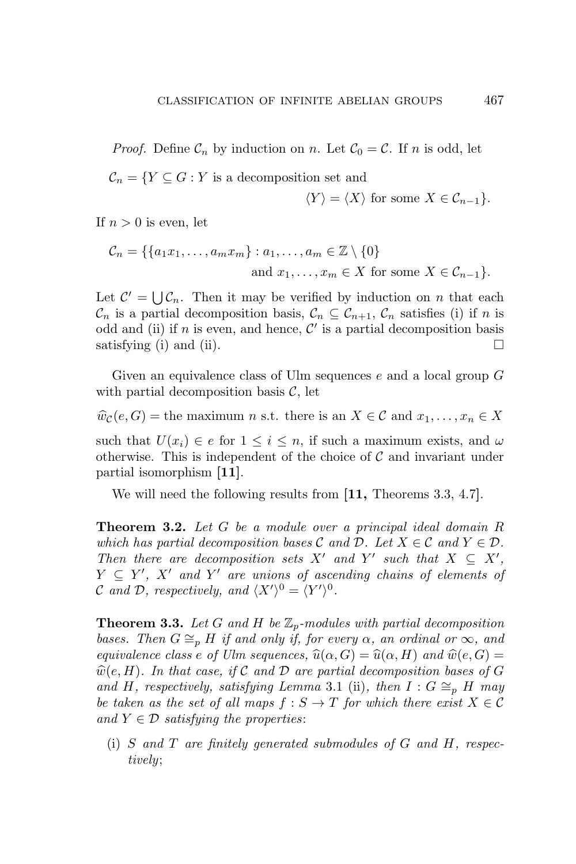*Proof.* Define  $\mathcal{C}_n$  by induction on *n*. Let  $\mathcal{C}_0 = \mathcal{C}$ . If *n* is odd, let

$$
\mathcal{C}_n = \{ Y \subseteq G : Y \text{ is a decomposition set and}
$$

$$
\langle Y \rangle = \langle X \rangle \text{ for some } X \in \mathcal{C}_{n-1} \}.
$$

If  $n > 0$  is even, let

$$
\mathcal{C}_n = \{ \{a_1x_1, \dots, a_mx_m\} : a_1, \dots, a_m \in \mathbb{Z} \setminus \{0\}
$$
  
and  $x_1, \dots, x_m \in X$  for some  $X \in \mathcal{C}_{n-1} \}.$ 

Let  $\mathcal{C}' = \bigcup \mathcal{C}_n$ . Then it may be verified by induction on *n* that each  $\mathcal{C}_n$  is a partial decomposition basis,  $\mathcal{C}_n \subseteq \mathcal{C}_{n+1}$ ,  $\mathcal{C}_n$  satisfies (i) if *n* is odd and (ii) if *n* is even, and hence,  $\mathcal{C}'$  is a partial decomposition basis satisfying (i) and (ii).

Given an equivalence class of Ulm sequences *e* and a local group *G* with partial decomposition basis  $\mathcal{C}$ , let

 $\hat{w}_c(e, G) =$  the maximum *n* s.t. there is an  $X \in \mathcal{C}$  and  $x_1, \ldots, x_n \in X$ 

such that  $U(x_i) \in e$  for  $1 \leq i \leq n$ , if such a maximum exists, and  $\omega$ otherwise. This is independent of the choice of *C* and invariant under partial isomorphism **[11]**.

We will need the following results from **[11,** Theorems 3.3, 4.7**]**.

**Theorem 3.2.** *Let G be a module over a principal ideal domain R which has partial decomposition bases*  $C$  *and*  $D$ *. Let*  $X \in C$  *and*  $Y \in D$ *. Then there are decomposition sets*  $X'$  *and*  $Y'$  *such that*  $X \subseteq X'$ ,  $Y \subseteq Y'$ ,  $X'$  and  $Y'$  are unions of ascending chains of elements of *C* and *D*, respectively, and  $\langle X' \rangle^0 = \langle Y' \rangle^0$ .

**Theorem 3.3.** Let  $G$  and  $H$  be  $\mathbb{Z}_p$ -modules with partial decomposition *bases. Then*  $G \cong_{p} H$  *if and only if, for every*  $\alpha$ *, an ordinal or*  $\infty$ *, and equivalence class e of Ulm sequences,*  $\widehat{u}(\alpha, G) = \widehat{u}(\alpha, H)$  *and*  $\widehat{w}(e, G) =$  $\widehat{w}(e, H)$ *. In that case, if*  $C$  *and*  $D$  *are partial decomposition bases of*  $G$ *and H, respectively, satisfying Lemma* 3.1 (ii)*, then*  $I : G \cong_{p} H$  *may be taken as the set of all maps*  $f : S \to T$  *for which there exist*  $X \in \mathcal{C}$ *and*  $Y \in \mathcal{D}$  *satisfying the properties:* 

(i) *S and T are finitely generated submodules of G and H, respectively*;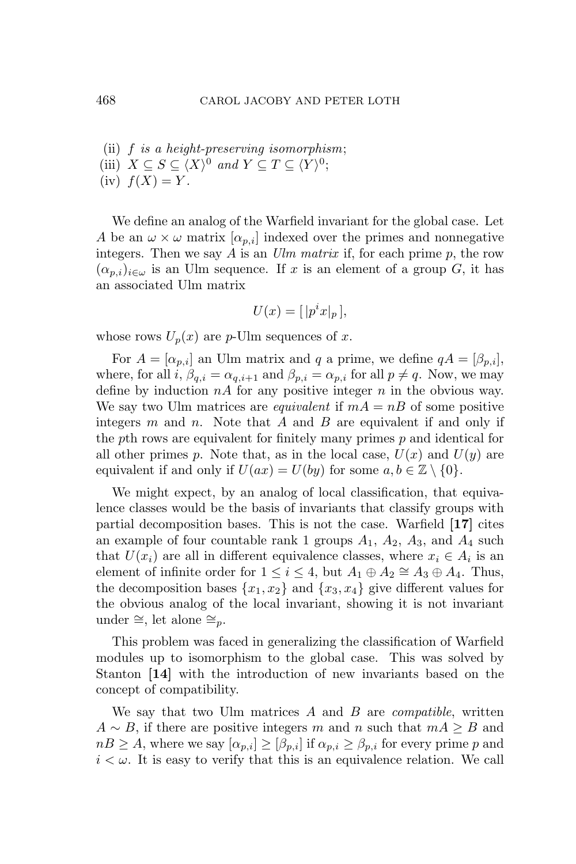- (ii) *f is a height-preserving isomorphism*;
- (iii)  $X \subseteq S \subseteq \langle X \rangle^0$  *and*  $Y \subseteq T \subseteq \langle Y \rangle^0$ ;
- $f(x) f(X) = Y.$

We define an analog of the Warfield invariant for the global case. Let *A* be an  $\omega \times \omega$  matrix  $\alpha_{p,i}$  indexed over the primes and nonnegative integers. Then we say *A* is an *Ulm matrix* if, for each prime *p*, the row  $(\alpha_{p,i})_{i\in\omega}$  is an Ulm sequence. If *x* is an element of a group *G*, it has an associated Ulm matrix

$$
U(x) = [ |p^i x|_p ],
$$

whose rows  $U_p(x)$  are *p*-Ulm sequences of *x*.

For  $A = [\alpha_{p,i}]$  an Ulm matrix and *q* a prime, we define  $qA = [\beta_{p,i}],$ where, for all  $i, \beta_{q,i} = \alpha_{q,i+1}$  and  $\beta_{p,i} = \alpha_{p,i}$  for all  $p \neq q$ . Now, we may define by induction *nA* for any positive integer *n* in the obvious way. We say two Ulm matrices are *equivalent* if  $mA = nB$  of some positive integers *m* and *n*. Note that *A* and *B* are equivalent if and only if the *p*th rows are equivalent for finitely many primes *p* and identical for all other primes p. Note that, as in the local case,  $U(x)$  and  $U(y)$  are equivalent if and only if  $U(ax) = U(by)$  for some  $a, b \in \mathbb{Z} \setminus \{0\}.$ 

We might expect, by an analog of local classification, that equivalence classes would be the basis of invariants that classify groups with partial decomposition bases. This is not the case. Warfield **[17]** cites an example of four countable rank 1 groups  $A_1$ ,  $A_2$ ,  $A_3$ , and  $A_4$  such that  $U(x_i)$  are all in different equivalence classes, where  $x_i \in A_i$  is an element of infinite order for  $1 \leq i \leq 4$ , but  $A_1 \oplus A_2 \cong A_3 \oplus A_4$ . Thus, the decomposition bases  $\{x_1, x_2\}$  and  $\{x_3, x_4\}$  give different values for the obvious analog of the local invariant, showing it is not invariant under *∼*=, let alone *∼*=*p*.

This problem was faced in generalizing the classification of Warfield modules up to isomorphism to the global case. This was solved by Stanton **[14]** with the introduction of new invariants based on the concept of compatibility.

We say that two Ulm matrices *A* and *B* are *compatible*, written  $A \sim B$ , if there are positive integers *m* and *n* such that  $mA \geq B$  and  $nB \geq A$ , where we say  $[\alpha_{p,i}] \geq [\beta_{p,i}]$  if  $\alpha_{p,i} \geq \beta_{p,i}$  for every prime *p* and  $i < \omega$ . It is easy to verify that this is an equivalence relation. We call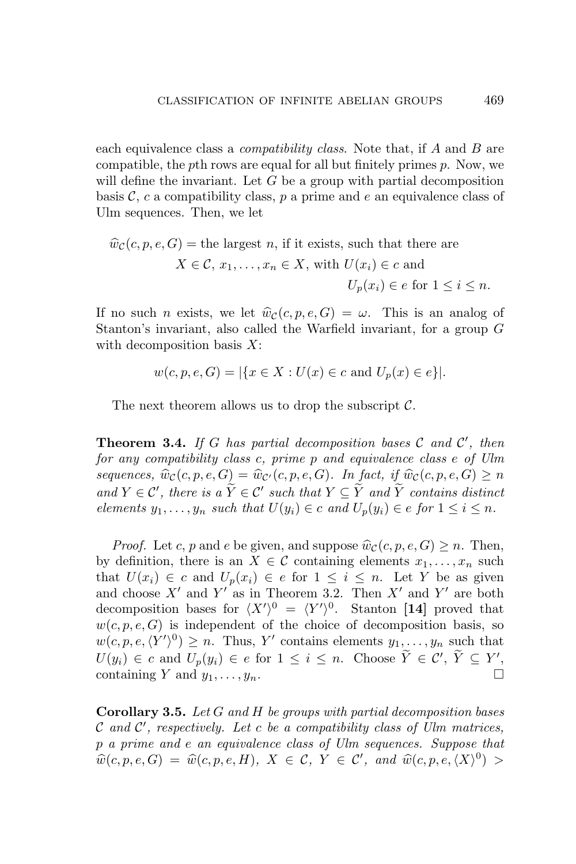each equivalence class a *compatibility class*. Note that, if *A* and *B* are compatible, the *p*th rows are equal for all but finitely primes *p*. Now, we will define the invariant. Let *G* be a group with partial decomposition basis  $\mathcal{C}$ ,  $c$  a compatibility class,  $p$  a prime and  $e$  an equivalence class of Ulm sequences. Then, we let

$$
\widehat{w}_{\mathcal{C}}(c, p, e, G) = \text{the largest } n, \text{ if it exists, such that there are}
$$
\n
$$
X \in \mathcal{C}, x_1, \dots, x_n \in X, \text{ with } U(x_i) \in c \text{ and}
$$
\n
$$
U_p(x_i) \in e \text{ for } 1 \le i \le n.
$$

If no such *n* exists, we let  $\hat{w}_c(c, p, e, G) = \omega$ . This is an analog of Stanton's invariant, also called the Warfield invariant, for a group *G* with decomposition basis *X*:

 $w(c, p, e, G) = |\{x \in X : U(x) \in c \text{ and } U_p(x) \in e\}|.$ 

The next theorem allows us to drop the subscript *C*.

**Theorem 3.4.** *If G has partial decomposition bases C and C ′ , then for any compatibility class c, prime p and equivalence class e of Ulm sequences,*  $\widehat{w}_c(c, p, e, G) = \widehat{w}_{c'}(c, p, e, G)$ *. In fact, if*  $\widehat{w}_c(c, p, e, G) \geq n$ *and*  $Y \in \mathcal{C}'$ , there is a  $Y \in \mathcal{C}'$  such that  $Y \subseteq Y$  and  $Y$  contains distinct elements  $y_1, \ldots, y_n$  such that  $U(y_i) \in c$  and  $U_n(y_i) \in e$  for  $1 \leq i \leq n$ .

*Proof.* Let *c*, *p* and *e* be given, and suppose  $\widehat{w}_c(c, p, e, G) \geq n$ . Then, by definition, there is an  $X \in \mathcal{C}$  containing elements  $x_1, \ldots, x_n$  such that  $U(x_i) \in c$  and  $U_p(x_i) \in e$  for  $1 \leq i \leq n$ . Let Y be as given and choose  $X'$  and  $Y'$  as in Theorem 3.2. Then  $X'$  and  $Y'$  are both decomposition bases for  $\langle X' \rangle^0 = \langle Y' \rangle^0$ . Stanton [14] proved that  $w(c, p, e, G)$  is independent of the choice of decomposition basis, so  $w(c, p, e, \langle Y' \rangle^0) \geq n$ . Thus, *Y'* contains elements  $y_1, \ldots, y_n$  such that  $U(y_i) \in c$  and  $U_p(y_i) \in e$  for  $1 \leq i \leq n$ . Choose  $Y \in \mathcal{C}'$ ,  $Y \subseteq Y'$ , containing *Y* and  $y_1, \ldots, y_n$ .

**Corollary 3.5.** *Let G and H be groups with partial decomposition bases C and C ′ , respectively. Let c be a compatibility class of Ulm matrices, p a prime and e an equivalence class of Ulm sequences. Suppose that*  $\widehat{w}(c, p, e, G) = \widehat{w}(c, p, e, H)$ *,*  $X \in \mathcal{C}$ *,*  $Y \in \mathcal{C}'$ *, and*  $\widehat{w}(c, p, e, \langle X \rangle^0)$  >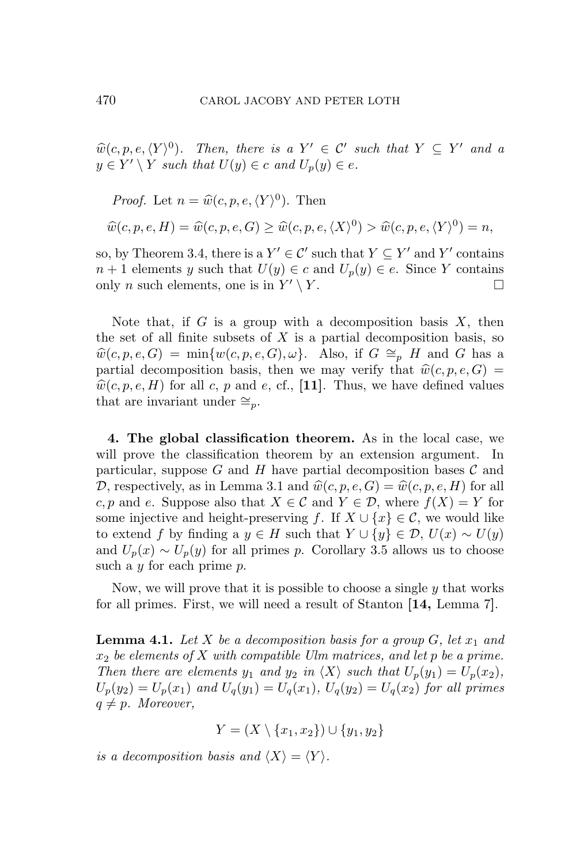$\widehat{w}(c, p, e, \langle Y \rangle^0)$ *. Then, there is a*  $Y' \in \mathcal{C}'$  such that  $Y \subseteq Y'$  and a  $y \in Y' \setminus Y$  *such that*  $U(y) \in c$  *and*  $U_p(y) \in e$ .

*Proof.* Let 
$$
n = \widehat{w}(c, p, e, \langle Y \rangle^0)
$$
. Then  

$$
\widehat{w}(c, p, e, H) = \widehat{w}(c, p, e, G) \ge \widehat{w}(c, p, e, \langle X \rangle^0) > \widehat{w}(c, p, e, \langle Y \rangle^0) = n,
$$

so, by Theorem 3.4, there is a  $Y' \in \mathcal{C}'$  such that  $Y \subseteq Y'$  and  $Y'$  contains *n* + 1 elements *y* such that *U*(*y*)  $∈$  *c* and *U<sub>p</sub>*(*y*)  $∈$  *e*. Since *Y* contains only *n* such elements, one is in  $Y' \setminus Y$ .

Note that, if *G* is a group with a decomposition basis *X*, then the set of all finite subsets of  $X$  is a partial decomposition basis, so  $\hat{w}(c, p, e, G) = \min\{w(c, p, e, G), \omega\}$ . Also, if  $G \cong_p H$  and *G* has a partial decomposition basis, then we may verify that  $\hat{w}(c, p, e, G) =$  $\hat{w}(c, p, e, H)$  for all *c*, *p* and *e*, cf., [11]. Thus, we have defined values that are invariant under  $\cong_p$ .

**4. The global classification theorem.** As in the local case, we will prove the classification theorem by an extension argument. In particular, suppose  $G$  and  $H$  have partial decomposition bases  $C$  and *D*, respectively, as in Lemma 3.1 and  $\hat{w}(c, p, e, G) = \hat{w}(c, p, e, H)$  for all *c, p* and *e*. Suppose also that  $X \in \mathcal{C}$  and  $Y \in \mathcal{D}$ , where  $f(X) = Y$  for some injective and height-preserving *f*. If  $X \cup \{x\} \in \mathcal{C}$ , we would like to extend *f* by finding a  $y \in H$  such that  $Y \cup \{y\} \in \mathcal{D}$ ,  $U(x) \sim U(y)$ and  $U_p(x) \sim U_p(y)$  for all primes *p*. Corollary 3.5 allows us to choose such a *y* for each prime *p*.

Now, we will prove that it is possible to choose a single *y* that works for all primes. First, we will need a result of Stanton **[14,** Lemma 7**]**.

**Lemma 4.1.** Let  $X$  be a decomposition basis for a group  $G$ , let  $x_1$  and *x*<sup>2</sup> *be elements of X with compatible Ulm matrices, and let p be a prime. Then there are elements*  $y_1$  *and*  $y_2$  *in*  $\langle X \rangle$  *such that*  $U_p(y_1) = U_p(x_2)$ *,*  $U_p(y_2) = U_p(x_1)$  *and*  $U_q(y_1) = U_q(x_1)$ *,*  $U_q(y_2) = U_q(x_2)$  *for all primes*  $q \neq p$ *. Moreover,* 

*Y* = (*X \ {x*1*, x*2*}*) *∪ {y*1*, y*2*}*

*is a decomposition basis and*  $\langle X \rangle = \langle Y \rangle$ *.*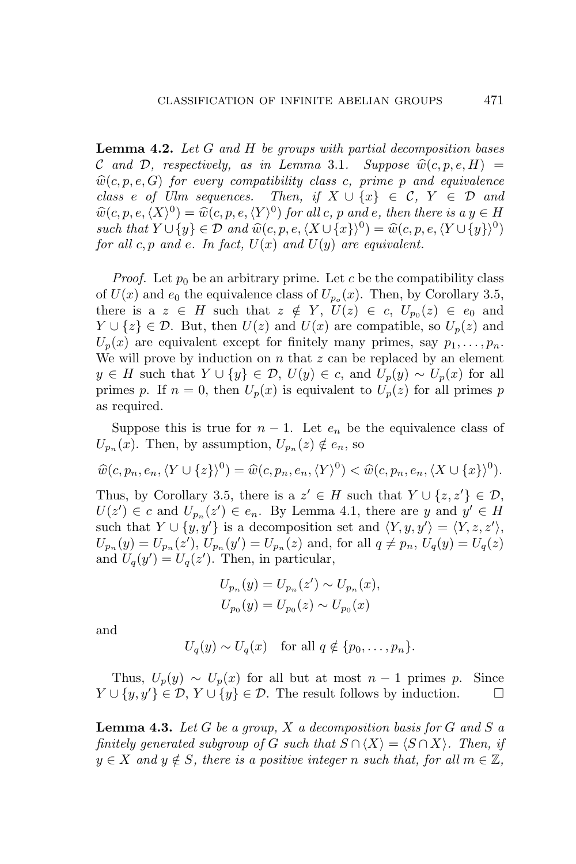**Lemma 4.2.** *Let G and H be groups with partial decomposition bases C* and *D*, respectively, as in Lemma 3.1. Suppose  $\hat{w}(c, p, e, H)$  =  $\hat{w}(c, p, e, G)$  *for every compatibility class c, prime p and equivalence class e of Ulm sequences. Then, if*  $X \cup \{x\} \in \mathcal{C}$ ,  $Y \in \mathcal{D}$  *and*  $\hat{w}(c, p, e, \langle X \rangle^0) = \hat{w}(c, p, e, \langle Y \rangle^0)$  *for all c, p and e, then there is a*  $y \in H$  $\mathcal{L}$  *such that*  $Y \cup \{y\} \in \mathcal{D}$  and  $\widehat{w}(c, p, e, \langle X \cup \{x\} \rangle^0) = \widehat{w}(c, p, e, \langle Y \cup \{y\} \rangle^0)$ *for all*  $c, p$  *and*  $e$ *. In fact,*  $U(x)$  *and*  $U(y)$  *are equivalent.* 

*Proof.* Let  $p_0$  be an arbitrary prime. Let  $c$  be the compatibility class of  $U(x)$  and  $e_0$  the equivalence class of  $U_{p_o}(x)$ . Then, by Corollary 3.5, there is a  $z \in H$  such that  $z \notin Y$ ,  $U(z) \in c$ ,  $U_{p_0}(z) \in e_0$  and *Y* ∪ { $z$ } ∈ *D*. But, then *U*(*z*) and *U*(*x*) are compatible, so *U<sub>p</sub>*(*z*) and  $U_p(x)$  are equivalent except for finitely many primes, say  $p_1, \ldots, p_n$ . We will prove by induction on *n* that *z* can be replaced by an element  $y \in H$  such that  $Y \cup \{y\} \in \mathcal{D}$ ,  $U(y) \in c$ , and  $U_p(y) \sim U_p(x)$  for all primes *p*. If  $n = 0$ , then  $U_p(x)$  is equivalent to  $U_p(z)$  for all primes *p* as required.

Suppose this is true for  $n-1$ . Let  $e_n$  be the equivalence class of  $U_{p_n}(x)$ . Then, by assumption,  $U_{p_n}(z) \notin e_n$ , so

$$
\widehat{w}(c, p_n, e_n, \langle Y \cup \{z\} \rangle^0) = \widehat{w}(c, p_n, e_n, \langle Y \rangle^0) < \widehat{w}(c, p_n, e_n, \langle X \cup \{x\} \rangle^0).
$$

Thus, by Corollary 3.5, there is a  $z' \in H$  such that  $Y \cup \{z, z'\} \in \mathcal{D}$ ,  $U(z') \in c$  and  $U_{p_n}(z') \in e_n$ . By Lemma 4.1, there are *y* and  $y' \in H$ such that  $Y \cup \{y, y'\}$  is a decomposition set and  $\langle Y, y, y' \rangle = \langle Y, z, z' \rangle$ ,  $U_{p_n}(y) = U_{p_n}(z'), U_{p_n}(y') = U_{p_n}(z)$  and, for all  $q \neq p_n$ ,  $U_q(y) = U_q(z)$ and  $U_q(y') = U_q(z')$ . Then, in particular,

$$
U_{p_n}(y) = U_{p_n}(z') \sim U_{p_n}(x),
$$
  

$$
U_{p_0}(y) = U_{p_0}(z) \sim U_{p_0}(x)
$$

and

$$
U_q(y) \sim U_q(x) \quad \text{for all } q \notin \{p_0, \ldots, p_n\}.
$$

Thus,  $U_p(y) \sim U_p(x)$  for all but at most  $n-1$  primes p. Since  $Y \cup \{y, y'\} \in \mathcal{D}, Y \cup \{y\} \in \mathcal{D}$ . The result follows by induction.

**Lemma 4.3.** *Let G be a group, X a decomposition basis for G and S a finitely generated subgroup of G such that*  $S \cap \langle X \rangle = \langle S \cap X \rangle$ . Then, if  $y \in X$  *and*  $y \notin S$ *, there is a positive integer n such that, for all*  $m \in \mathbb{Z}$ *,*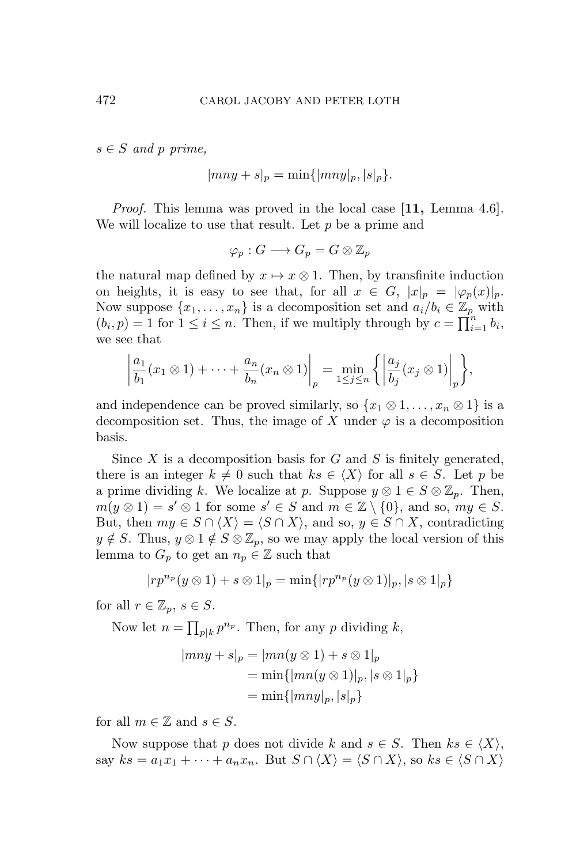$s \in S$  *and*  $p$  *prime,* 

$$
|mny + s|_p = \min\{|mny|_p, |s|_p\}.
$$

*Proof.* This lemma was proved in the local case **[11,** Lemma 4.6**]**. We will localize to use that result. Let *p* be a prime and

$$
\varphi_p:G\longrightarrow G_p=G\otimes \mathbb{Z}_p
$$

the natural map defined by  $x \mapsto x \otimes 1$ . Then, by transfinite induction on heights, it is easy to see that, for all  $x \in G$ ,  $|x|_p = |\varphi_p(x)|_p$ . Now suppose  $\{x_1, \ldots, x_n\}$  is a decomposition set and  $a_i/b_i \in \mathbb{Z}_p$  with  $(b_i, p) = 1$  for  $1 \leq i \leq n$ . Then, if we multiply through by  $c = \prod_{i=1}^{n} b_i$ , we see that

$$
\left|\frac{a_1}{b_1}(x_1 \otimes 1) + \cdots + \frac{a_n}{b_n}(x_n \otimes 1)\right|_p = \min_{1 \le j \le n} \left\{ \left|\frac{a_j}{b_j}(x_j \otimes 1)\right|_p \right\},\,
$$

and independence can be proved similarly, so  $\{x_1 \otimes 1, \ldots, x_n \otimes 1\}$  is a decomposition set. Thus, the image of *X* under  $\varphi$  is a decomposition basis.

Since *X* is a decomposition basis for *G* and *S* is finitely generated, there is an integer  $k \neq 0$  such that  $ks \in \langle X \rangle$  for all  $s \in S$ . Let p be a prime dividing *k*. We localize at *p*. Suppose  $y \otimes 1 \in S \otimes \mathbb{Z}_p$ . Then,  $m(y \otimes 1) = s' \otimes 1$  for some  $s' \in S$  and  $m \in \mathbb{Z} \setminus \{0\}$ , and so,  $my \in S$ . But, then  $my \in S \cap \langle X \rangle = \langle S \cap X \rangle$ , and so,  $y \in S \cap X$ , contradicting  $y \notin S$ . Thus,  $y \otimes 1 \notin S \otimes \mathbb{Z}_p$ , so we may apply the local version of this lemma to  $G_p$  to get an  $n_p \in \mathbb{Z}$  such that

$$
|rp^{n_p}(y\otimes 1)+s\otimes 1|_p=\min\{|rp^{n_p}(y\otimes 1)|_p, |s\otimes 1|_p\}
$$

for all  $r \in \mathbb{Z}_p$ ,  $s \in S$ .

Now let  $n = \prod_{p|k} p^{n_p}$ . Then, for any *p* dividing *k*,

$$
|mny + s|_p = |mn(y \otimes 1) + s \otimes 1|_p
$$
  
= min{ $|mn(y \otimes 1)|_p, |s \otimes 1|_p$ }  
= min{ $|mny|_p, |s|_p$ }

for all  $m \in \mathbb{Z}$  and  $s \in S$ .

Now suppose that *p* does not divide *k* and  $s \in S$ . Then  $ks \in \langle X \rangle$ , say  $ks = a_1x_1 + \cdots + a_nx_n$ . But  $S \cap \langle X \rangle = \langle S \cap X \rangle$ , so  $ks \in \langle S \cap X \rangle$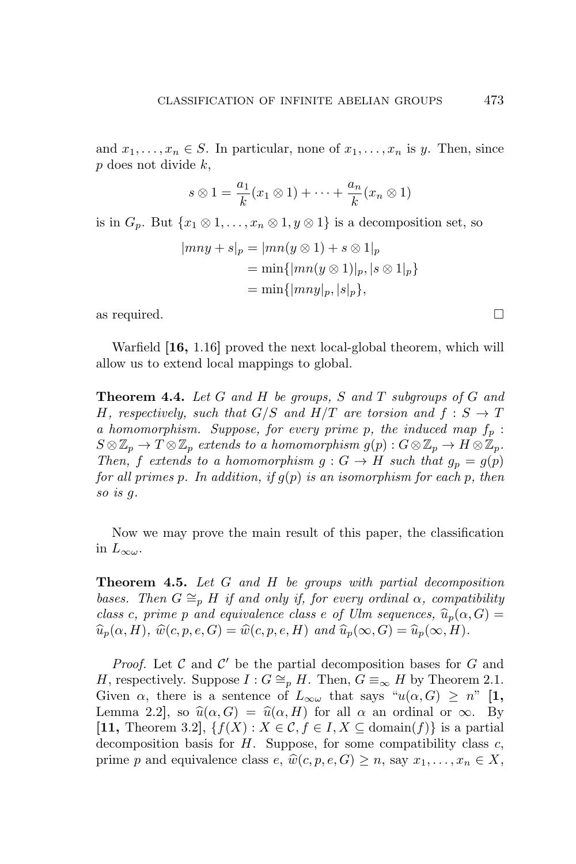and  $x_1, \ldots, x_n \in S$ . In particular, none of  $x_1, \ldots, x_n$  is *y*. Then, since *p* does not divide *k*,

$$
s \otimes 1 = \frac{a_1}{k}(x_1 \otimes 1) + \cdots + \frac{a_n}{k}(x_n \otimes 1)
$$

is in  $G_p$ . But  $\{x_1 \otimes 1, \ldots, x_n \otimes 1, y \otimes 1\}$  is a decomposition set, so

$$
|mny + s|_p = |mn(y \otimes 1) + s \otimes 1|_p
$$
  
= min{ $|mn(y \otimes 1)|_p$ ,  $|s \otimes 1|_p$ }  
= min{ $|mny|_p$ ,  $|s|_p$ },

as required.  $\Box$ 

Warfield **[16,** 1.16**]** proved the next local-global theorem, which will allow us to extend local mappings to global.

**Theorem 4.4.** *Let G and H be groups, S and T subgroups of G and H*, respectively, such that  $G/S$  and  $H/T$  are torsion and  $f : S \rightarrow T$ *a homomorphism. Suppose, for every prime p, the induced map f<sup>p</sup>* :  $S \otimes \mathbb{Z}_p \to T \otimes \mathbb{Z}_p$  *extends to a homomorphism*  $g(p) : G \otimes \mathbb{Z}_p \to H \otimes \mathbb{Z}_p$ . *Then,*  $f$  *extends to a homomorphism*  $g: G \to H$  *such that*  $g_p = g(p)$ *for all primes p. In addition, if g*(*p*) *is an isomorphism for each p, then so is g.*

Now we may prove the main result of this paper, the classification in  $L_{\infty\omega}$ .

**Theorem 4.5.** *Let G and H be groups with partial decomposition bases.* Then  $G \cong_{p} H$  *if and only if, for every ordinal*  $\alpha$ *, compatibility class c, prime p and equivalence class e of Ulm sequences,*  $\widehat{u}_p(\alpha, G) =$  $\widehat{u}_p(\alpha, H)$ *,*  $\widehat{w}(c, p, e, G) = \widehat{w}(c, p, e, H)$  *and*  $\widehat{u}_p(\infty, G) = \widehat{u}_p(\infty, H)$ *.* 

*Proof.* Let *C* and *C ′* be the partial decomposition bases for *G* and *H*, respectively. Suppose  $I: G \cong_{p} H$ . Then,  $G \equiv_{\infty} H$  by Theorem 2.1. Given  $\alpha$ , there is a sentence of  $L_{\infty}$  that says " $u(\alpha, G) \geq n$ " [1, Lemma 2.2, so  $\hat{u}(\alpha, G) = \hat{u}(\alpha, H)$  for all  $\alpha$  an ordinal or  $\infty$ . By **[11,** Theorem 3.2**]**, *{f*(*X*) : *X ∈ C, f ∈ I, X ⊆* domain(*f*)*}* is a partial decomposition basis for *H*. Suppose, for some compatibility class *c*, prime *p* and equivalence class *e*,  $\hat{w}(c, p, e, G) \geq n$ , say  $x_1, \ldots, x_n \in X$ ,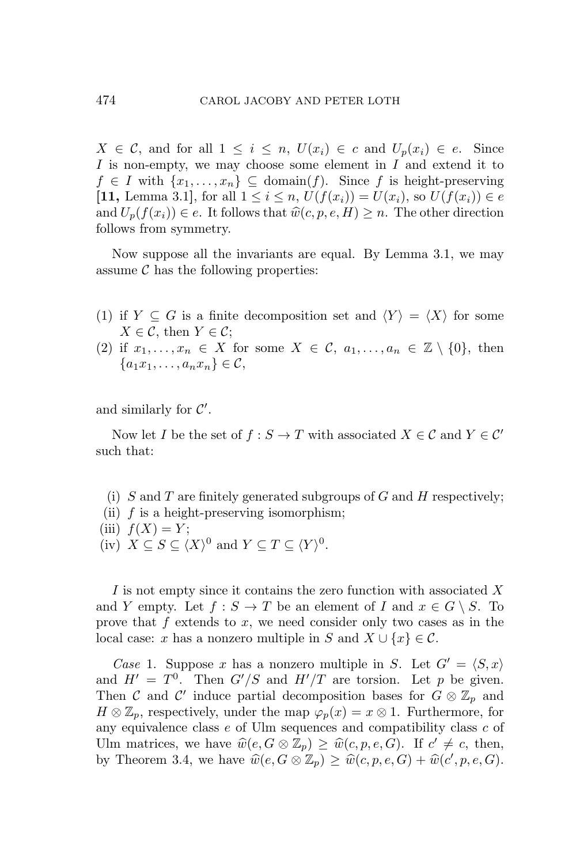$X \in \mathcal{C}$ , and for all  $1 \leq i \leq n$ ,  $U(x_i) \in c$  and  $U_p(x_i) \in e$ . Since *I* is non-empty, we may choose some element in *I* and extend it to  $f \in I$  with  $\{x_1, \ldots, x_n\} \subseteq \text{domain}(f)$ . Since f is height-preserving **[11,** Lemma 3.1**]**, for all 1 *≤ i ≤ n*, *U*(*f*(*xi*)) = *U*(*xi*), so *U*(*f*(*xi*)) *∈ e* and  $U_p(f(x_i)) \in e$ . It follows that  $\hat{w}(c, p, e, H) \geq n$ . The other direction follows from symmetry.

Now suppose all the invariants are equal. By Lemma 3.1, we may assume  $\mathcal C$  has the following properties:

- (1) if  $Y \subseteq G$  is a finite decomposition set and  $\langle Y \rangle = \langle X \rangle$  for some  $X \in \mathcal{C}$ , then  $Y \in \mathcal{C}$ ;
- (2) if  $x_1, \ldots, x_n \in X$  for some  $X \in \mathcal{C}, a_1, \ldots, a_n \in \mathbb{Z} \setminus \{0\}$ , then *{* $a_1x_1, \ldots, a_nx_n$ *}* ∈ *C*,

and similarly for *C ′* .

Now let *I* be the set of  $f : S \to T$  with associated  $X \in \mathcal{C}$  and  $Y \in \mathcal{C}'$ such that:

- (i) *S* and *T* are finitely generated subgroups of *G* and *H* respectively;
- (ii) *f* is a height-preserving isomorphism;
- $(iii)$   $f(X) = Y$ ;
- (iv)  $X \subseteq S \subseteq \langle X \rangle^0$  and  $Y \subseteq T \subseteq \langle Y \rangle^0$ .

*I* is not empty since it contains the zero function with associated *X* and *Y* empty. Let  $f : S \to T$  be an element of *I* and  $x \in G \setminus S$ . To prove that *f* extends to *x*, we need consider only two cases as in the local case: *x* has a nonzero multiple in *S* and  $X \cup \{x\} \in \mathcal{C}$ .

*Case* 1. Suppose *x* has a nonzero multiple in *S*. Let  $G' = \langle S, x \rangle$ and  $H' = T^0$ . Then  $G'/S$  and  $H'/T$  are torsion. Let p be given. Then *C* and *C'* induce partial decomposition bases for  $G \otimes \mathbb{Z}_p$  and  $H \otimes \mathbb{Z}_p$ , respectively, under the map  $\varphi_p(x) = x \otimes 1$ . Furthermore, for any equivalence class *e* of Ulm sequences and compatibility class *c* of Ulm matrices, we have  $\widehat{w}(e, G \otimes \mathbb{Z}_p) \geq \widehat{w}(c, p, e, G)$ . If  $c' \neq c$ , then, by Theorem 3.4, we have  $\widehat{w}(e, G \otimes \mathbb{Z}_p) \geq \widehat{w}(c, p, e, G) + \widehat{w}(c', p, e, G)$ .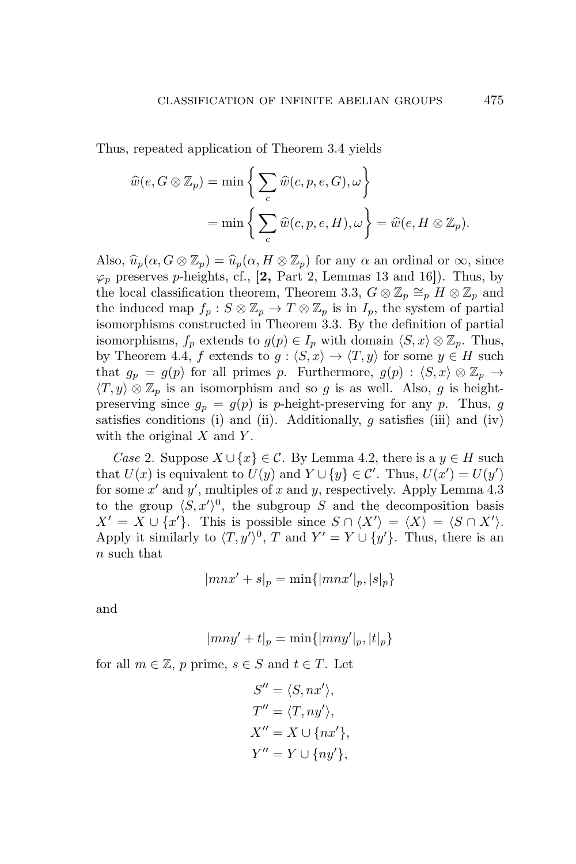Thus, repeated application of Theorem 3.4 yields

$$
\widehat{w}(e, G \otimes \mathbb{Z}_p) = \min \left\{ \sum_c \widehat{w}(c, p, e, G), \omega \right\}
$$

$$
= \min \left\{ \sum_c \widehat{w}(c, p, e, H), \omega \right\} = \widehat{w}(e, H \otimes \mathbb{Z}_p).
$$

Also,  $\widehat{u}_p(\alpha, G \otimes \mathbb{Z}_p) = \widehat{u}_p(\alpha, H \otimes \mathbb{Z}_p)$  for any  $\alpha$  an ordinal or  $\infty$ , since  $\varphi_p$  preserves *p*-heights, cf., **[2,** Part 2, Lemmas 13 and 16**]**). Thus, by the local classification theorem, Theorem 3.3,  $G \otimes \mathbb{Z}_p \cong_p H \otimes \mathbb{Z}_p$  and the induced map  $f_p: S \otimes \mathbb{Z}_p \to T \otimes \mathbb{Z}_p$  is in  $I_p$ , the system of partial isomorphisms constructed in Theorem 3.3. By the definition of partial isomorphisms,  $f_p$  extends to  $g(p) \in I_p$  with domain  $\langle S, x \rangle \otimes \mathbb{Z}_p$ . Thus, by Theorem 4.4, *f* extends to  $g: \langle S, x \rangle \to \langle T, y \rangle$  for some  $y \in H$  such that  $g_p = g(p)$  for all primes p. Furthermore,  $g(p) : \langle S, x \rangle \otimes \mathbb{Z}_p \to$  $\langle T, y \rangle \otimes \mathbb{Z}_p$  is an isomorphism and so *g* is as well. Also, *g* is heightpreserving since  $g_p = g(p)$  is *p*-height-preserving for any *p*. Thus, *g* satisfies conditions (i) and (ii). Additionally, *g* satisfies (iii) and (iv) with the original *X* and *Y* .

*Case* 2. Suppose  $X \cup \{x\} \in \mathcal{C}$ . By Lemma 4.2, there is a *y* ∈ *H* such that  $U(x)$  is equivalent to  $U(y)$  and  $Y \cup \{y\} \in \mathcal{C}'$ . Thus,  $U(x') = U(y')$ for some *x ′* and *y ′* , multiples of *x* and *y*, respectively. Apply Lemma 4.3 to the group  $\langle S, x' \rangle^0$ , the subgroup *S* and the decomposition basis  $X' = X \cup \{x'\}.$  This is possible since  $S \cap \langle X' \rangle = \langle X \rangle = \langle S \cap X' \rangle.$ Apply it similarly to  $\langle T, y' \rangle^0$ , T and  $Y' = Y \cup \{y'\}$ . Thus, there is an *n* such that

$$
|mnx'+s|_p = \min\{|mnx'|_p, |s|_p\}
$$

and

$$
|mny' + t|_p = \min\{|mny'|_p, |t|_p\}
$$

for all  $m \in \mathbb{Z}$ ,  $p$  prime,  $s \in S$  and  $t \in T$ . Let

$$
S'' = \langle S, nx' \rangle,
$$
  
\n
$$
T'' = \langle T, ny' \rangle,
$$
  
\n
$$
X'' = X \cup \{nx'\},
$$
  
\n
$$
Y'' = Y \cup \{ny'\},
$$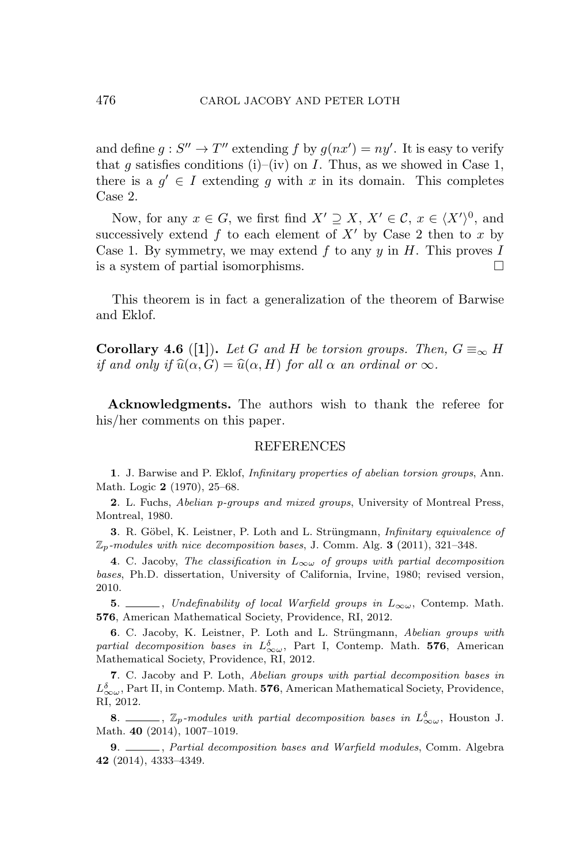and define  $g: S'' \to T''$  extending  $f$  by  $g(nx') = ny'$ . It is easy to verify that *q* satisfies conditions (i)–(iv) on *I*. Thus, as we showed in Case 1, there is a  $g' \in I$  extending g with x in its domain. This completes Case 2.

Now, for any  $x \in G$ , we first find  $X' \supseteq X$ ,  $X' \in \mathcal{C}$ ,  $x \in \langle X' \rangle^0$ , and successively extend  $f$  to each element of  $X'$  by Case 2 then to  $x$  by Case 1. By symmetry, we may extend *f* to any *y* in *H*. This proves *I* is a system of partial isomorphisms.

This theorem is in fact a generalization of the theorem of Barwise and Eklof.

**Corollary 4.6** ([1]). Let G and H be torsion groups. Then,  $G \equiv_{\infty} H$ *if and only if*  $\widehat{u}(\alpha, G) = \widehat{u}(\alpha, H)$  *for all*  $\alpha$  *an ordinal or*  $\infty$ *.* 

**Acknowledgments.** The authors wish to thank the referee for his/her comments on this paper.

#### REFERENCES

**1**. J. Barwise and P. Eklof, *Infinitary properties of abelian torsion groups*, Ann. Math. Logic **2** (1970), 25–68.

**2**. L. Fuchs, *Abelian p-groups and mixed groups*, University of Montreal Press, Montreal, 1980.

**3**. R. Göbel, K. Leistner, P. Loth and L. Strüngmann, *Infinitary equivalence of* Z*p-modules with nice decomposition bases*, J. Comm. Alg. **3** (2011), 321–348.

**4**. C. Jacoby, *The classification in*  $L_{\infty} \omega$  *of groups with partial decomposition bases*, Ph.D. dissertation, University of California, Irvine, 1980; revised version, 2010.

**5**. ∠*Dndefinability of local Warfield groups in L*<sub>∞</sub>*ω*, Contemp. Math. **576**, American Mathematical Society, Providence, RI, 2012.

**6.** C. Jacoby, K. Leistner, P. Loth and L. Strüngmann, *Abelian groups with partial decomposition bases in*  $L^{\delta}_{\infty \omega}$ , Part I, Contemp. Math. **576**, American Mathematical Society, Providence, RI, 2012.

**7**. C. Jacoby and P. Loth, *Abelian groups with partial decomposition bases in*  $L_{\infty\omega}^{\delta}$ , Part II, in Contemp. Math. **576**, American Mathematical Society, Providence, RI, 2012.

**8**.  $\Box$ ,  $\mathbb{Z}_p$ *-modules with partial decomposition bases in*  $L^{\delta}_{\infty}$ , Houston J. Math. **40** (2014), 1007–1019.

**9**. , *Partial decomposition bases and Warfield modules*, Comm. Algebra **42** (2014), 4333–4349.